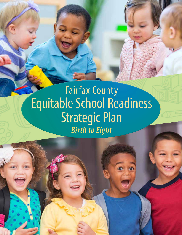# Fairfax County Equitable School Readiness Strategic Plan *Birth to Eight*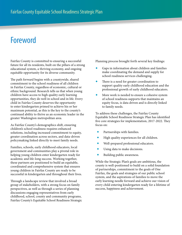## Foreword

Fairfax County is committed to ensuring a successful future for all its residents, built on the pillars of a strong educational system, a thriving economy, and ongoing equitable opportunity for its diverse community.

The path forward begins with a countywide, shared commitment to the school readiness of all children in Fairfax County, regardless of economic, cultural or ethnic background. Research tells us that when young children have access to high quality early learning opportunities, they do well in school and in life. Every child in Fairfax County deserves the opportunity to enter kindergarten primed to achieve his or her maximum potential, as this is the key to the county's continued ability to thrive as an economic leader in the greater Washington metropolitan area.

As Fairfax County's demographics shift, ensuring children's school readiness requires enhanced solutions, including increased commitment to equity, greater coordination across sectors, and data-driven policymaking linked directly to meet family needs.

Families, schools, early childhood educators, local government and communities play a pivotal role in helping young children enter kindergarten ready for academic and life-long success. Working together, these partners are positioned to build an equitable, coordinated and comprehensive system that ensures young children in Fairfax County are ready to be successful in kindergarten and throughout their lives.

Through a landscape review that involved a broad group of stakeholders, with a strong focus on family perspectives, as well as through a series of planning discussions engaging representatives from early childhood, school, county and community programs, Fairfax County's Equitable School Readiness Strategic Planning process brought forth several key findings:

- Gaps in information about children and families make coordinating the demand and supply for school readiness services challenging.
- $\bullet$  There is a need for greater coordination to support quality early childhood education and the professional growth of early childhood educators.
- More work is needed to ensure a cohesive system of school readiness supports that maintains an equity focus, is data driven and is directly linked to family needs.

To address these challenges, the Fairfax County Equitable School Readiness Strategic Plan has identified five core strategies for implementation, 2017-2022. They focus on:

- Partnerships with families.
- High quality experiences for all children.
- Well-prepared professional educators.
- Using data to make decisions.
- Building public awareness.

While the Strategic Plan's goals are ambitious, the county is well-positioned to build on a solid foundation of partnerships, commitment to the goals of One Fairfax, the goals and strategies of our public school system, and the aspirations of families to move the early learning needle forward and achieve our vision of every child entering kindergarten ready for a lifetime of success, happiness and achievement.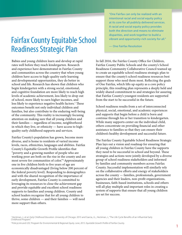## Fairfax County Equitable School Readiness Strategic Plan

Babies and young children learn and develop at rapid rates well before they reach kindergarten. Research and experience have demonstrated in Fairfax County and communities across the country that when young children have access to high-quality early learning and developmental opportunities, they do better in school and life. Research has shown that children who begin kindergarten with a strong social, emotional, and cognitive foundation are more likely to reach high levels of academic achievement, less likely to drop out of school, more likely to earn higher incomes, and less likely to experience negative health factors.<sup>1</sup> These outcomes benefit not only individual children and families, but also contribute to the enduring well-being of the community. This reality is increasingly focusing attention on making sure that all young children and their families — regardless of income, neighborhood in which they live, or ethnicity — have access to highquality early childhood supports and services.

Fairfax County's population has grown, become more diverse, and is home to residents of varied income levels, races, ethnicities, languages and abilities. Fairfax County's Equitable Growth Profile identifies that "poverty and a growing number of people who are working poor are both on the rise in the county and are most severe for communities of color."2 Approximately one in five children birth to five years of age are economically disadvantaged (living below 200 percent of the federal poverty level). Responding to demographics and with the shared recognition of the importance of early development, Fairfax County is committed to leveraging its resources to close the achievement gap and provide equitable and excellent school readiness supports to families and young children. County and school leaders recognize that for all young children to thrive, some children — and their families — will need more support than others.

"One Fairfax can only be realized with an intentional racial and social equity policy at its core for all publicly delivered services. A racial and social equity policy provides both the direction and means to eliminate disparities, and work together to build a vibrant and opportunity-rich society for all."

— One Fairfax Resolution

In fall 2016, the Fairfax County Office for Children, Fairfax County Public Schools and the county's School Readiness Community Collaborative Council teamed up to create an equitable school readiness strategic plan to ensure that the county's school readiness resources best support those who need them most. Reflecting the goals of One Fairfax, which lifts up equity as a core policy principle, this resulting plan represents a deeply held and widely shared commitment to and strategies for assuring that Fairfax County's youngest residents are supported from the start to be successful in the future.

School readiness results from a set of interconnected physical, social, emotional, and academic experiences and supports that begin before a child is born and continue through his or her transition to kindergarten. While many supports center on the individual child, others concentrate on providing financial and other assistance to families so that they can ensure their children's healthy development and successful future.

The Fairfax County Equitable School Readiness Strategic Plan lays out a vision and roadmap for ensuring that all young children in Fairfax County have the supports they need to be successful in school and beyond. These strategies and actions were jointly developed by a diverse group of school readiness stakeholders and informed by families and community members across Fairfax County. Successful implementation will similarly rely on the collaborative efforts and energy of stakeholders across the county — families, professionals, government agencies and their leaders, non-profit organizations, businesses, faith-based institutions, schools and others will all play multiple and important roles in creating a system of supports that ensure that all young children are set for success.

<sup>1</sup> Heckman, J., et al. *Early Childhood Education*. University of Chicago: 2015 and Garcia, J.L., Heckman, J., "The Life Cycle Benefits of an Influential Early Childhood Program."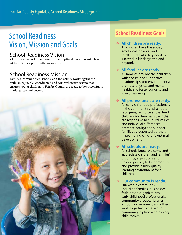## School Readiness Vision, Mission and Goals

### School Readiness Vision

All children enter kindergarten at their optimal developmental level with equitable opportunity for success.

### School Readiness Mission

Families, communities, schools and the county work together to build an equitable, coordinated and comprehensive system that ensures young children in Fairfax County are ready to be successful in kindergarten and beyond.



## **School Readiness Goals**

- **All children are ready.**  All children have the social, emotional, physical and intellectual skills they need to succeed in kindergarten and beyond.
- **All families are ready.**  All families provide their children with secure and supportive relationships and environments; promote physical and mental health; and foster curiosity and love of learning.
- **All professionals are ready.**  All early childhood professionals

in the community and schools recognize, reinforce and extend children and families' strengths; are responsive to cultural values and individual differences; promote equity; and support families as respected partners in promoting children's optimal development.

**All schools are ready.** 

All schools know, welcome and appreciate children and families' thoughts, aspirations and unique journey to kindergarten, and provide a high-quality learning environment for all children.

**Our community is ready.** 

Our whole community, including families, businesses, faith-based organizations, early childhood professionals, community groups, libraries, schools, government and others, work together to make our community a place where every child thrives.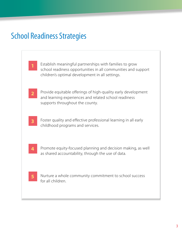## School Readiness Strategies

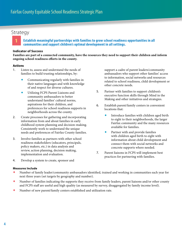#### **1 Establish meaningful partnerships with families to grow school readiness opportunities in all communities and support children's optimal development in all settings.**

#### **Indicator of Success**

**Families are part of a connected community, have the resources they need to support their children and inform ongoing school readiness efforts in the county.**

#### Actions

- 1. Listen to, assess and understand the needs of families to build trusting relationships, by:
	- Communicating regularly with families in their native languages and with knowledge of and respect for diverse cultures.
	- Utilizing FCPS Parent Liaisons and community ambassadors to better understand families' cultural norms, aspirations for their children, and preferences for school readiness supports in neighborhoods across the county.
- 2. Create processes for gathering and incorporating information from and about families in early childhood system planning and decision-making. Consistently work to understand the unique needs and preferences of Fairfax County families.
- 3. Involve families as partners with other school readiness stakeholders (educators, principals, policy makers, etc.) in data analysis and review, action planning, decision making, implementation and evaluation.
- 4. Develop a system to create, sponsor and

#### **Measures Include**

- Number of family leader/community ambassadors identified, trained and working in communities each year for next three years (set targets by geography and number).
- Number of families indicating the supports they receive from family leaders, parent liaisons and/or other county and FCPS staff are useful and high quality (as measured by survey, disaggregated by family income level).
- Number of new parent/family centers established and utilization rate.

support a cadre of parent leaders/community ambassadors who support other families' access to information, social networks and resources related to school readiness, child development or other concrete needs.

- 5. Partner with families to support children's executive function skills through Mind in the Making and other initiatives and strategies.
- 6. Establish parent/family centers in convenient locations that:
	- Introduce families with children aged birth to eight to their neighborhoods, the larger Fairfax community and the many resources available for families.
	- Partner with and provide families with children aged birth to eight with information about child development and connect them with social networks and concrete supports where needed.
- 7. Parent liaisons in FCPS will implement best practices for partnering with families.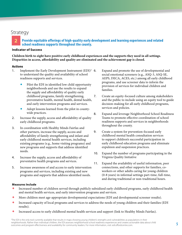#### **2 Provide equitable offerings of high-quality early development and learning experiences and related school readiness supports throughout the county.**

#### **Indicator of Success**

**Children birth to eight have positive early childhood experiences and the supports they need in all settings. Disparities in access, affordability and quality are eliminated and the achievement gap is closed.** 

#### Actions

- 1. Implement the Early Development Instrument  $(EDI)<sup>3</sup>$  6. to understand the quality and availability of school readiness supports and services.
	- Pilot the EDI in identified low child opportunity neighborhoods and use the results to expand the supply and affordability of quality early childhood programs, family strengthening, preventative health, mental health, dental health, and early intervention programs and services.
	- Adopt lessons learned from the pilot in countywide practices.
- 2. Increase the supply, access and affordability of quality early childhood programs.
- 3. In coordination with Healthy Minds Fairfax and other partners, increase the supply, access and affordability of family strengthening and infant and early childhood mental health services, including existing programs (e.g., home visiting programs) and new programs and supports that address identified needs.
- 4. Increase the supply, access and affordability of preventative health programs and services.
- 5. Increase awareness of and access to early intervention programs and services, including existing and new programs and supports that address identified needs.
- Expand and promote the use of developmental and social emotional screeners (e.g., ASQ-3, ASQ-SE, AEPS, DECA, ACES, etc.) among all early childhood programs, and use screener data to inform the provision of services for individual children and families.
- 7. Create an equity-focused culture among stakeholders and the public to include using an equity tool to guide decision-making for all early childhood programs, services and policies.
- 8. Expand and leverage Neighborhood School Readiness Teams to promote effective coordination of school readiness supports and services in neighborhoods throughout the county.
- 9. Create a system for prevention-focused early childhood mental health consultation services to support children's successful participation in early childhood education programs and eliminate expulsion and suspension practices.
- 10. Expand the number of programs participating in the Virginia Quality Initiative
- 11. Expand the availability of useful information, peer connections, and other supports for families, coworkers or other adults caring for young children (0-8 years) in informal settings part-time, full-time, and during traditional or non-traditional hours.

- Increased number of children served through publicly subsidized early childhood programs, early childhood health and mental health services, and early intervention programs and services.
- More children meet age-appropriate developmental expectations (EDI and developmental screener results).
- Increased capacity of local programs and services to address the needs of young children and their families (EDI results).
- Increased access to early childhood mental health services and support (link to Healthy Minds Fairfax).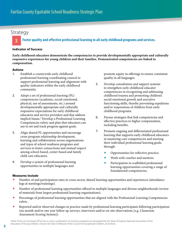#### **3 Foster quality and effective professional learning in all early childhood programs and services.**

#### **Indicator of Success**

**Early childhood educators demonstrate the competencies to provide developmentally appropriate and culturally responsive experiences for young children and their families. Demonstrated competencies are linked to compensation.**

#### Actions

- 1. Establish a countywide early childhood professional learning coordinating council to support professional learning and alignment with quality indicators within the early childhood community.
- 2. Adopt a set of professional learning (PL) competencies (academic, social-emotional, physical, use of assessments, etc.) around developmentally appropriate and culturally responsive expectations for early childhood educators and service providers and that address implicit biases.4 Develop a Professional Learning Competencies rubric and plan that educators can use to set and track progress against goals.
- 3. Align shared PL opportunities and encourage cross-program relationship development, learning and collaboration across organizations and types of school readiness programs and services to foster connections and mutual respect among school-based, center-based and family child care educators.
- 4. Develop a system of professional learning opportunities in multiple languages and

promote equity in offerings to ensure consistent quality in all languages.

- 5. Develop consultation and support systems to strengthen early childhood educator competencies in recognizing and addressing childhood trauma and promoting children's social emotional growth and executive functioning skills, thereby preventing expulsions and/or suspensions of children from early childhood programs.
- 6. Pursue strategies that link competencies and effective practices to higher compensation, including benefits.
- 7. Promote ongoing and differentiated professional learning that supports early childhood educators in mastering core competencies and meeting their individual professional learning goals, through:
	- Opportunities for reflective practice.
	- Work with coaches and mentors.
	- Participation in scaffolded professional learning opportunities covering a range of foundational competencies.

- Number of and participation rates in cross-sector, shared learning opportunities and experiences (attendance logs at meetings/trainings).
- Number of professional learning opportunities offered in multiple languages and diverse neighborhoods (review of materials from largest professional learning organizations).
- Percentage of professional learning opportunities that are aligned with the Professional Learning Competencies rubric.
- Reported and/or observed changes in practice made by professional learning participants following participation (six month and/or one year follow up surveys, interviews and/or on-site observations [e.g. Classroom Assessment Scoring System]).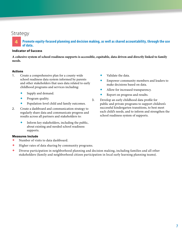**4 Promote equity-focused planning and decision making, as well as shared accountability, through the use of data.**

#### **Indicator of Success**

**A cohesive system of school readiness supports is accessible, equitable, data driven and directly linked to family needs.**

#### Actions

- 1. Create a comprehensive plan for a county-wide school readiness data system informed by parents and other stakeholders that uses data related to early childhood programs and services including:
	- Supply and demand.
	- Program quality.
	- Population-level child and family outcomes.
- 2. Create a dashboard and communication strategy to regularly share data and communicate progress and results across all partners and stakeholders to:
	- Inform key stakeholders, including the public, about existing and needed school readiness supports.

- Number of visits to data dashboard.
- $\blacklozenge$  Higher rates of data sharing by community programs.
- Diverse participation in neighborhood planning and decision making, including families and all other stakeholders (family and neighborhood citizen participation in local early learning planning teams).
- Validate the data.
- Empower community members and leaders to make decisions based on data.
- Allow for increased transparency.
- Report on progress and results.
- 3. Develop an early childhood data profile for public and private programs to support children's successful kindergarten transitions, to best meet each child's needs, and to inform and strengthen the school readiness system of supports.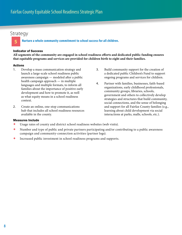#### **5 Nurture a whole community commitment to school success for all children.**

#### Indicator of Success

**All segments of the community are engaged in school readiness efforts and dedicated public funding ensures that equitable programs and services are provided for children birth to eight and their families.**

#### Actions

- 1. Develop a mass communication strategy and launch a large-scale school readiness public awareness campaign — modeled after a public health campaign approach — in multiple languages and multiple formats, to inform all families about the importance of positive early development and how to promote it, as well as what equity means in a school readiness context.
- 2. Create an online, one-stop communications hub that includes all school readiness resources available in the county.
- 3. Build community support for the creation of a dedicated public Children's Fund to support ongoing programs and services for children.
- 4. Partner with families, businesses, faith-based organizations, early childhood professionals, community groups, libraries, schools, government and others to collectively develop strategies and structures that build community, social connections, and the sense of belonging and support for all Fairfax County families (e.g., learning about child development via social interactions at parks, malls, schools, etc.).

- Usage rates of county and district school readiness websites (web visits).
- Number and type of public and private partners participating and/or contributing to a public awareness campaign and community-connection activities (partner logs).
- Increased public investment in school readiness programs and supports.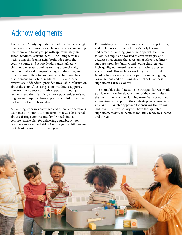## Acknowledgments

The Fairfax County Equitable School Readiness Strategic Plan was shaped through a collaborative effort including interviews and focus groups with approximately 160 school readiness stakeholders — including families with young children in neighborhoods across the county, county and school leaders and staff, early childhood educators and partnering professionals, community-based non-profits, higher education, and existing committees focused on early childhood health, development and school readiness. This landscape review (see Addendum) provided invaluable information about the county's existing school readiness supports, how well the county currently supports its youngest residents and their families, where opportunities existed to grow and improve those supports, and informed the pathway for the strategic plan.

A planning team was convened and a smaller operations team met bi-monthly to transform what was discovered about existing supports and family needs into a comprehensive plan for delivering equitable school readiness supports to Fairfax County young children and their families over the next five years.

Recognizing that families have diverse needs, priorities, and preferences for their children's early learning and care, the planning groups paid special attention to families' input and worked to craft strategies and activities that ensure that a system of school readiness supports provides families and young children with high-quality opportunities when and where they are needed most. This includes working to ensure that families have clear avenues for partnering in ongoing conversations and decisions about school readiness supports in Fairfax County.

The Equitable School Readiness Strategic Plan was made possible with the invaluable input of the community and the commitment of the planning team. With continued momentum and support, the strategic plan represents a vital and sustainable approach for ensuring that young children in Fairfax County will have the equitable supports necessary to begin school fully ready to succeed and thrive.

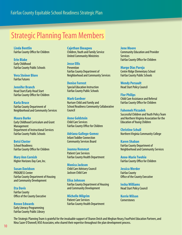## Strategic Planning Team Members

**Linda Bentlin** Fairfax County Office for Children

**Erin Blake** Early Childhood Fairfax County Public Schools

**Vera Steiner Blore** Fairfax Futures

**Jennifer Branch** Head Start/Early Head Start Fairfax County Office for Children

**Karla Bruce** Fairfax County Department of Neighborhood and Community Services

**Maura Burke** Early Childhood Curriculum and Grant **Management** Department of Instructional Services Fairfax County Public Schools

**Betsi Closter** School Readiness Fairfax County Office for Children

**Mary Ann Cornish** Higher Horizons Day Care, Inc.

**Susan Davidson** PROGRESS Center Fairfax County Department of Housing and Community Development

**Eta Davis** Fairfax County Office of the County Executive

**Renee Edwards** Early Literacy Programming Fairfax County Public Library **Cajethan Ekeagwu** Children, Youth and Family Service United Community Ministries

**Jesse Ellis Prevention** Fairfax County Department of

Neighborhood and Community Services

**Denise Forrest** Special Education Instruction Fairfax County Public Schools

**Mark Gardner** Nurture Child and Family and School Readiness Community Collaborative Council

**Anne Goldstein** Child Care Services Fairfax County Office for Children

**Adriana Gallego-Gomez** Infant Toddler Connection Community Services Board

**Joanna Hemmat** Patient Care Services Fairfax County Health Department

**Monica Jackson** Child Care Advisory Council Jackson Child Care

**Elisa Johnson** Fairfax County Department of Housing and Community Development

**Michelle Milgrim** Patient Care Services Fairfax County Health Department **Jene Moore** Community Education and Provider Services Fairfax County Office for Children

**Margo Dias Pareja** Centre Ridge Elementary School Fairfax County Public Schools

**Wendy Persault** Head Start Policy Council

**Flor Philips**  Child Care Assistance and Referral Fairfax County Office for Children

**Fahemeh Pirzadeh** Successful Children and Youth Policy Team and Northern Virginia Association for the Education of Young Children

**Christine Schull** Northern Virginia Community College

**Karen Shaban** Fairfax County Department of Neighborhood and Community Services

**Anne-Marie Twohie** Fairfax County Office for Children

**Jessica Werder** Fairfax County Office of the County Executive

**Iesha Williams** Head Start Policy Council

**Kerrie Wilson Cornerstones** 

The Strategic Planning Team is grateful for the invaluable support of Sharon Deich and Meghan Neary, FourPoint Education Partners, and Nina Sazer O'Donnell, NSO Associates, who shared their expertise throughout the plan development process.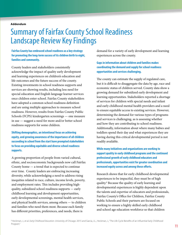**Addendum**

## Summary of Fairfax County School Readiness Landscape Review Key Findings

**Fairfax County has embraced school readiness as a key strategy for promoting the long-term success of its children birth to eight, families and community.**

County leaders and stakeholders consistently acknowledge the impact of quality early development and learning experiences on children's education and life outcomes and the future success of the county. Existing investments in school readiness supports and services are showing results, including less need for special education and English language learner services once children enter school. Fairfax County stakeholders have adopted a common school readiness definition and are using multiple approaches to measure school readiness. However, results from Fairfax County Public Schools (FCPS) kindergarten screenings — one measure in use — suggest a need for more and/or better school readiness supports for some children.

**Shifting demographics, an intentional focus on achieving equity, and growing awareness of the importance of all children succeeding in school from the start have prompted stakeholders to focus on providing equitable and diverse school readiness supports.**

A growing proportion of people from varied cultural, ethnic, and socioeconomic backgrounds now call Fairfax County home — a trend that is expected to continue over time. County leaders are embracing increasing diversity, while acknowledging a need to address rising inequities related to race, culture, income levels, poverty, and employment rates. This includes providing highquality, subsidized school readiness supports — early childhood learning and development opportunities, early developmental screenings, mental health services, and physical health services, among others — to children and families who need them most. Because each family has different priorities, preferences, and needs, there is

demand for a variety of early development and learning experiences across the county.

#### **Gaps in information about children and families makes coordinating the demand and supply for school readiness opportunities and services challenging.**

The county can estimate the supply of regulated care, but it is difficult to disaggregate the data by age, race and economic status of children served. County data show a growing demand for subsidized early development and learning opportunities. Stakeholders reported a shortage of services for children with special needs and infant and early childhood mental health providers and a need to ensure equitable access to existing services. However, determining the demand for various types of programs and services is challenging, as is assessing whether and how they are contributing to school readiness. Additionally, information about where many babies and toddlers spend their day and what experiences they are having during this critical developmental period is not readily available.

**While many initiatives and organizations are working to support quality in early childhood programs and the continued professional growth of early childhood educators and professionals, opportunities exist for greater coordination and increased equity across and among these efforts.** 

Research shows that for early childhood developmental experiences to be impactful, they must be of high quality.6 Because the quality of early learning and developmental experiences is highly dependent upon the talents and expertise of educators and professionals, Fairfax County's Office for Children, Fairfax County Public Schools and their partners are focused on working to ensure a highly skilled early childhood and school age education workforce so that children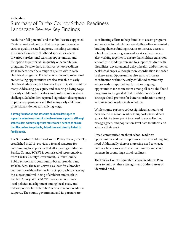### **Addendum** Summary of Fairfax County School Readiness Landscape Review Key Findings

reach their full potential and that families are supported. Center-based and family child care programs receive various quality-related supports, including technical assistance from early childhood specialists, access to various professional learning opportunities, and the option to participate in quality or accreditation programs. Despite these initiatives, school readiness stakeholders describe a range of quality within early childhood programs. Formal education and professional credentialing opportunities are also available to early childhood educators, but barriers to participation exist for many. Addressing pay equity and ensuring a living wage for early childhood educators and professionals is also a challenge. Stakeholders reported significant discrepancies in pay across programs and that many early childhood professionals do not earn a living wage.

**A strong foundation and structure has been developed to support a cohesive system of school readiness supports, although stakeholders acknowledge that more work is needed to ensure that the system is equitable, data driven and directly linked to family needs.**

The Successful Children and Youth Policy Team (SCYPT), established in 2013, provides a formal structure for coordinating local policies that affect young children in Fairfax County. SCYPT is comprised of representatives from Fairfax County Government, Fairfax County Public Schools, and community-based providers and stakeholders. The team serves as a lever for a broader, community-wide collective impact approach to ensuring the success and well-being of children and youth in Fairfax County. While SCYPT works to coordinate local policies, misalignment among local, state, and federal policies limits families' access to school readiness supports. The county government and its partners are

coordinating efforts to help families to access programs and services for which they are eligible, often successfully braiding diverse funding streams to increase access to school readiness programs and services. Partners are also working together to ensure that children transition smoothly to kindergarten and to support children with disabilities, developmental delays, health, and/or mental health challenges, although more coordination is needed in these areas. Opportunities also exist to increase coordination within the early childhood community, whose leaders reported few formal or ongoing opportunities for connections among all early childhood programs and suggested that neighborhood-based strategies hold promise for better coordination among various school readiness stakeholders.

While county partners collect significant amounts of data related to school readiness supports, several data gaps exist. Partners point to a need to use collective, disaggregated, and population-level data to inform and advance their work.

Broad communication about school readiness opportunities and their importance is an area of ongoing need. Additionally, there is a pressing need to engage families, businesses, and other community and civic partners in promoting school readiness.

The Fairfax County Equitable School Readiness Plan seeks to build on these strengths and address areas of identified need.